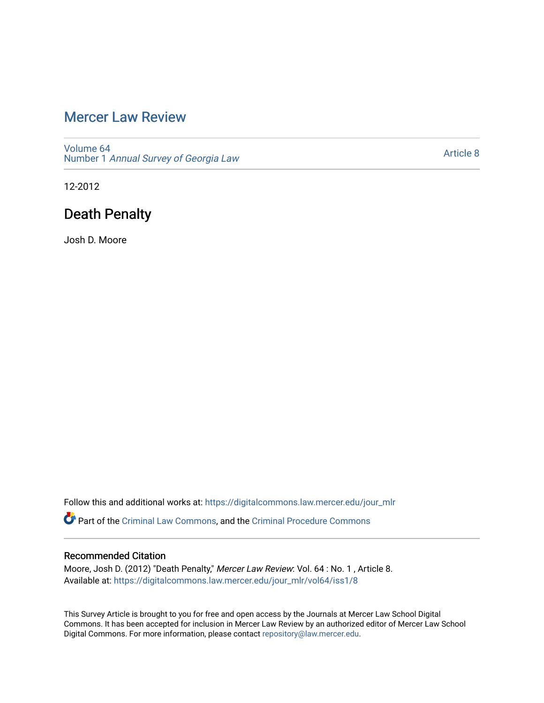## [Mercer Law Review](https://digitalcommons.law.mercer.edu/jour_mlr)

[Volume 64](https://digitalcommons.law.mercer.edu/jour_mlr/vol64) Number 1 [Annual Survey of Georgia Law](https://digitalcommons.law.mercer.edu/jour_mlr/vol64/iss1) 

[Article 8](https://digitalcommons.law.mercer.edu/jour_mlr/vol64/iss1/8) 

12-2012

# Death Penalty

Josh D. Moore

Follow this and additional works at: [https://digitalcommons.law.mercer.edu/jour\\_mlr](https://digitalcommons.law.mercer.edu/jour_mlr?utm_source=digitalcommons.law.mercer.edu%2Fjour_mlr%2Fvol64%2Fiss1%2F8&utm_medium=PDF&utm_campaign=PDFCoverPages)

Part of the [Criminal Law Commons,](http://network.bepress.com/hgg/discipline/912?utm_source=digitalcommons.law.mercer.edu%2Fjour_mlr%2Fvol64%2Fiss1%2F8&utm_medium=PDF&utm_campaign=PDFCoverPages) and the [Criminal Procedure Commons](http://network.bepress.com/hgg/discipline/1073?utm_source=digitalcommons.law.mercer.edu%2Fjour_mlr%2Fvol64%2Fiss1%2F8&utm_medium=PDF&utm_campaign=PDFCoverPages)

### Recommended Citation

Moore, Josh D. (2012) "Death Penalty," Mercer Law Review: Vol. 64 : No. 1 , Article 8. Available at: [https://digitalcommons.law.mercer.edu/jour\\_mlr/vol64/iss1/8](https://digitalcommons.law.mercer.edu/jour_mlr/vol64/iss1/8?utm_source=digitalcommons.law.mercer.edu%2Fjour_mlr%2Fvol64%2Fiss1%2F8&utm_medium=PDF&utm_campaign=PDFCoverPages)

This Survey Article is brought to you for free and open access by the Journals at Mercer Law School Digital Commons. It has been accepted for inclusion in Mercer Law Review by an authorized editor of Mercer Law School Digital Commons. For more information, please contact [repository@law.mercer.edu](mailto:repository@law.mercer.edu).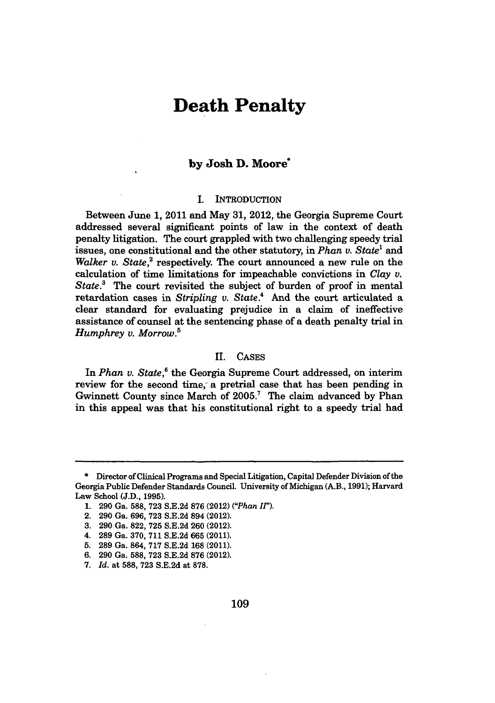## **Death Penalty**

### **by Josh D. Moore\***

#### I. INTRODUCTION

Between June **1,** 2011 and May **31,** 2012, the Georgia Supreme Court addressed several significant points of law in the context of death penalty litigation. The court grappled with two challenging speedy trial issues, one constitutional and the other statutory, in *Phan v. State<sup>1</sup>* and Walker v. State,<sup>2</sup> respectively. The court announced a new rule on the calculation of time limitations for impeachable convictions in *Clay v. State.3* The court revisited the subject of burden of proof in mental retardation cases in *Stripling v. State.4* And the court articulated a clear standard for evaluating prejudice in a claim of ineffective assistance of counsel at the sentencing phase of a death penalty trial in *Humphrey v. Morrow.5*

#### II. **CASES**

In *Phan v. State*,<sup>6</sup> the Georgia Supreme Court addressed, on interim review for the second time, a pretrial case that has been pending in Gwinnett County since March of 2005.' The claim advanced **by** Phan in this appeal was that his constitutional right to a speedy trial had

**5. 289** Ga. 864, **717 S.E.2d 168** (2011).

<sup>\*</sup> Director of Clinical Programs and Special Litigation, Capital Defender Division of the Georgia Public Defender Standards Council. University of Michigan (A.B., **1991);** Harvard Law School **(J.D., 1995).**

**<sup>1. 290</sup>** Ga. **588, 723 S.E.2d 876** (2012) *("Phan IF).*

<sup>2.</sup> **290** Ga. **696, 723 S.E.2d** 894 (2012).

**<sup>3. 290</sup>** Ga. **822, 725 S.E.2d 260** (2012).

<sup>4.</sup> **289** Ga. **370, 711 S.E.2d 665** (2011).

**<sup>6. 290</sup>** Ga. **588, 723 S.E.2d 876** (2012).

**<sup>7.</sup>** *Id.* at **588, 723 S.E.2d** at **878.**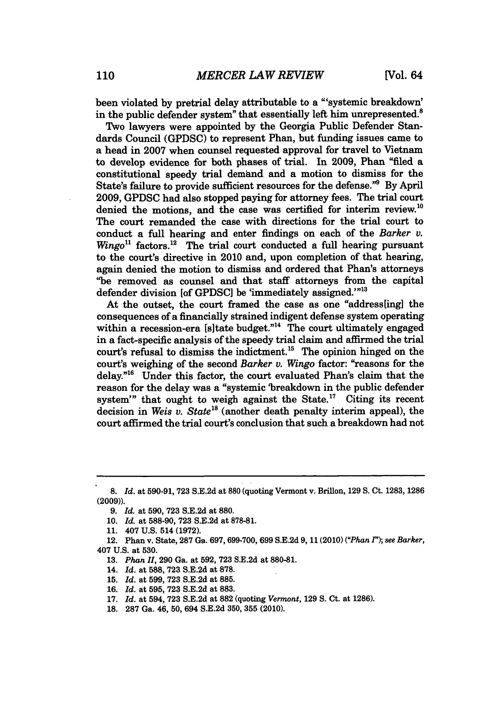been violated **by** pretrial delay attributable to a "'systemic breakdown' in the public defender system" that essentially left him unrepresented.<sup>8</sup>

Two lawyers were appointed **by** the Georgia Public Defender Standards Council **(GPDSC)** to represent Phan, but funding issues came to a head in **2007** when counsel requested approval for travel to Vietnam to develop evidence for both phases of trial. In **2009,** Phan "filed a constitutional speedy trial demand and a motion to dismiss for the State's failure to provide sufficient resources for the defense."<sup>9</sup> By April 2009, GPDSC had also stopped paying for attorney fees. The trial court denied the motions, and the case was certified for interim review.<sup>10</sup> The court remanded the case with directions for the trial court to conduct a full hearing and enter findings on each of the *Barker v.*  $Wingo<sup>11</sup>$  factors.<sup>12</sup> The trial court conducted a full hearing pursuant to the court's directive in 2010 and, upon completion of that hearing, again denied the motion to dismiss and ordered that Phan's attorneys "be removed as counsel and that staff attorneys from the capital defender division [of GPDSC] be 'immediately assigned."<sup>13</sup>

At the outset, the court framed the case as one "address[ing] the consequences of a financially strained indigent defense system operating within a recession-era [s] tate budget."<sup>14</sup> The court ultimately engaged in a fact-specific analysis of the speedy trial claim and affirmed the trial court's refusal to dismiss the indictment.<sup>15</sup> The opinion hinged on the court's weighing of the second *Barker v. Wingo* factor: "reasons for the delay.<sup>"16</sup> Under this factor, the court evaluated Phan's claim that the reason for the delay was a "systemic 'breakdown in the public defender system'" that ought to weigh against the State.<sup>17</sup> Citing its recent decision in *Weis v. State*<sup>18</sup> (another death penalty interim appeal), the court affirmed the trial court's conclusion that such a breakdown had not

**<sup>8.</sup>** *Id.* at **590-91, 723 S.E.2d** at **880** (quoting Vermont v. Brillon, **129 S.** Ct. **1283, 1286 (2009)).**

**<sup>9.</sup>** *Id.* at **590, 723 S.E.2d** at **880.**

**<sup>10.</sup>** *Id.* at **588-90, 723 S.E.2d** at **878-81.**

**<sup>11.</sup>** 407 **U.S.** 514 **(1972).**

<sup>12.</sup> Phan v. State, **287** Ga. **697, 699-700, 699 S.E.2d 9, 11** (2010) *("Phan 1"); see Barker,* 407 **U.S.** at **530.**

**<sup>13.</sup>** *Phan II,* **290** Ga. at **592, 723 S.E.2d** at **880-81.**

<sup>14.</sup> *Id.* at **588, 723 S.E.2d** at **878.**

**<sup>15.</sup>** *Id.* at **599, 723 S.E.2d** at **885.**

**<sup>16.</sup>** *Id.* at **595, 723 S.E.2d** at **883.**

**<sup>17.</sup>** *Id.* at 594, **723 S.E.2d** at **882** (quoting *Vermont,* **129 S.** Ct. at **1286).**

**<sup>18. 287</sup>** Ga. 46, **50,** 694 **S.E.2d 350, 355** (2010).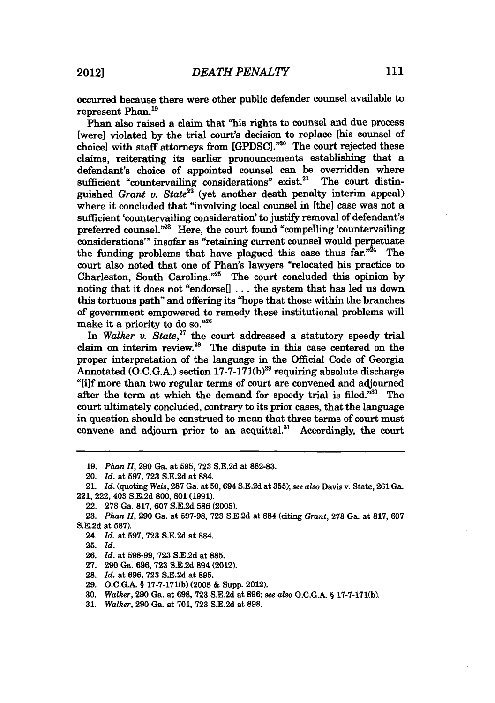occurred because there were other public defender counsel available to represent Phan.<sup>19</sup>

Phan also raised a claim that "his rights to counsel and due process [were] violated **by** the trial court's decision to replace [his counsel of choice] with staff attorneys from [GPDSC]."<sup>20</sup> The court rejected these claims, reiterating its earlier pronouncements establishing that a defendant's choice of appointed counsel can be overridden where sufficient "countervailing considerations" exist.<sup>21</sup> The court distinguished *Grant v. State22* (yet another death penalty interim appeal) where it concluded that "involving local counsel in [the] case was not a sufficient 'countervailing consideration' to justify removal of defendant's preferred counsel."<sup>23</sup> Here, the court found "compelling 'countervailing considerations'" insofar as "retaining current counsel would perpetuate the funding problems that have plagued this case thus far."<sup>24</sup> The court also noted that one of Phan's lawyers "relocated his practice to Charleston, South Carolina."25 The court concluded this opinion **by** noting that it does not "endorse[] **...** the system that has led us down this tortuous path" and offering its "hope that those within the branches of government empowered to remedy these institutional problems **will** make it a priority to do so."26

In *Walker v. State*,<sup>27</sup> the court addressed a statutory speedy trial claim on interim review.<sup>28</sup> The dispute in this case centered on the proper interpretation of the language in the Official Code of Georgia Annotated **(O.C.G.A.)** section **17-7-171(b) <sup>29</sup>**requiring absolute discharge **"[i]f** more than two regular terms of court are convened and adjourned after the term at which the demand for speedy trial is filed." $30$  The court ultimately concluded, contrary to its prior cases, that the language in question should be construed to mean that three terms of court must convene and adjourn prior to an acquittal. $31$  Accordingly, the court

- **27. 290** Ga. **696, 723 S.E.2d** 894 (2012).
- **28.** *Id.* at **696, 723 S.E.2d** at **895.**
- **29. O.C.G.A.** § **17-7-171(b) (2008 &** Supp. 2012).
- **30.** Walker, **290** Ga. at **698, 723 S.E.2d** at **896;** *see also* **O.C.G.A.** § 17-7-171(b).

**<sup>19.</sup>** *Phan II,* **290** Ga. at **595, 723 S.E.2d** at **882-83.**

<sup>20.</sup> *Id.* at **597, 723 S.E.2d** at 884.

<sup>21.</sup> *Id.* (quoting *Weis,* **287** Ga. at **50,** 694 S.E.2d at **355);** *see also* Davis v. State, 261 Ga. 221, 222, 403 **S.E.2d 800, 801 (1991).**

<sup>22.</sup> **278** Ga. **817, 607 S.E.2d 586 (2005).**

**<sup>23.</sup>** *Phan* **H, 290** Ga. at **597-98, 723 S.E.2d** at **884** (citing *Grant,* **278** Ga. at **817, 607 S.E.2d** at **587).**

<sup>24.</sup> *Id.* at **597, 723 S.E.2d** at **884.**

**<sup>25.</sup>** *Id.*

**<sup>26.</sup>** *Id.* at **598-99, 723 S.E.2d** at **885.**

**<sup>31.</sup>** *Walker,* **290** Ga. at **701, 723 S.E.2d** at **898.**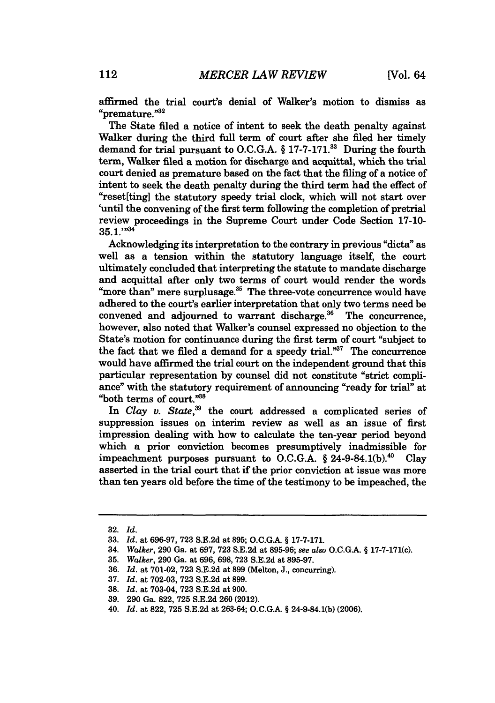affirmed the trial court's denial of Walker's motion to dismiss as "premature."<sup>32</sup>

The State filed a notice of intent to seek the death penalty against Walker during the third full term of court after she filed her timely demand for trial pursuant to O.C.G.A. § 17-7-171.<sup>33</sup> During the fourth term, Walker filed a motion for discharge and acquittal, which the trial court denied as premature based on the fact that the filing of a notice of intent to seek the death penalty during the third term had the effect of "reset[ting] the statutory speedy trial clock, which will not start over 'until the convening of the first term following the completion of pretrial review proceedings in the Supreme Court under Code Section **17-10- 35. 1. ,, 4**

Acknowledging its interpretation to the contrary in previous "dicta" as well as a tension within the statutory language itself, the court ultimately concluded that interpreting the statute to mandate discharge and acquittal after only two terms of court would render the words "more than" mere surplusage.<sup>35</sup> The three-vote concurrence would have adhered to the court's earlier interpretation that only two terms need be convened and adjourned to warrant discharge. $36$  The concurrence, however, also noted that Walker's counsel expressed no objection to the State's motion for continuance during the first term of court "subject to the fact that we filed a demand for a speedy trial. $^{37}$  The concurrence would have affirmed the trial court on the independent ground that this particular representation **by** counsel did not constitute "strict compliance" with the statutory requirement of announcing "ready for trial" at "both terms of court."<sup>38</sup>

In *Clay v. State,39* the court addressed a complicated series of suppression issues on interim review as well as an issue of first impression dealing with how to calculate the ten-year period beyond which a prior conviction becomes presumptively inadmissible for impeachment purposes pursuant to O.C.G.A. § 24-9-84.1(b).<sup>40</sup> Clay asserted in the trial court that if the prior conviction at issue was more than ten years old before the time of the testimony to be impeached, the

<sup>32.</sup> *Id.*

**<sup>33.</sup>** *Id.* at 696-97, 723 S.E.2d at 895; O.C.G.A. § 17-7-171.

<sup>34.</sup> *Walker,* 290 Ga. at 697, 723 S.E.2d at 895-96; *see also* O.C.G.A. § 17-7-171(c).

<sup>35.</sup> *Walker,* 290 Ga. at 696, 698, 723 S.E.2d at 895-97.

<sup>36.</sup> *Id.* at 701-02, 723 S.E.2d at 899 (Melton, J., concurring).

**<sup>37.</sup>** *Id.* at 702-03, **723** S.E.2d at 899.

**<sup>38.</sup>** *Id.* at 703-04, **723** S.E.2d at 900.

<sup>39. 290</sup> Ga. 822, 725 S.E.2d 260 (2012).

<sup>40.</sup> *Id.* at 822, 725 S.E.2d at 263-64; O.C.G.A. § 24-9-84.1(b) (2006).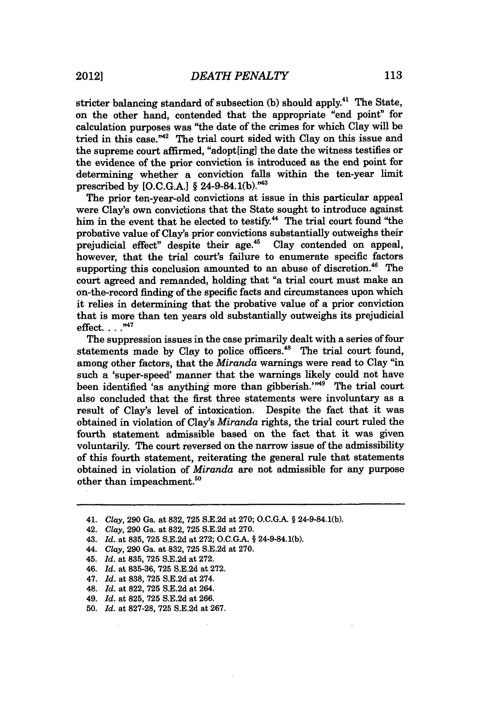stricter balancing standard of subsection **(b)** should apply.4' The State, on the other hand, contended that the appropriate "end point" for calculation purposes was "the date of the crimes for which Clay will be tried in this case."<sup>42</sup> The trial court sided with Clay on this issue and the supreme court affirmed, "adopt[ing] the date the witness testifies or the evidence of the prior conviction is introduced as the end point for determining whether a conviction falls within the ten-year limit prescribed by [O.C.G.A.] § 24-9-84.1(b)."43

The prior ten-year-old convictions at issue in this particular appeal were Clay's own convictions that the State sought to introduce against him in the event that he elected to testify.<sup>44</sup> The trial court found "the probative value of Clay's prior convictions substantially outweighs their prejudicial effect" despite their age.<sup>45</sup> Clay contended on appeal, however, that the trial court's failure to enumerate specific factors supporting this conclusion amounted to an abuse of discretion.<sup>46</sup> The court agreed and remanded, holding that "a trial court must make an on-the-record finding of the specific facts and circumstances upon which it relies in determining that the probative value of a prior conviction that is more than ten years old substantially outweighs its prejudicial effect. . . . <sup>347</sup>

The suppression issues in the case primarily dealt with a series of four statements made by Clay to police officers.<sup>48</sup> The trial court found, among other factors, that the *Miranda* warnings were read to Clay "in such a 'super-speed' manner that the warnings likely could not have been identified 'as anything more than gibberish.'"<sup>49</sup> The trial court also concluded that the first three statements were involuntary as a result of Clay's level of intoxication. Despite the fact that it was obtained in violation of Clay's *Miranda* rights, the trial court ruled the fourth statement admissible based on the fact that it was given voluntarily. The court reversed on the narrow issue of the admissibility of this fourth statement, reiterating the general rule that statements obtained in violation of *Miranda* are not admissible for any purpose other than impeachment.<sup>50</sup>

<sup>41.</sup> *Clay,* 290 Ga. at 832, **725** S.E.2d at 270; O.C.G.A. § 24-9-84.1(b).

<sup>42.</sup> *Clay,* 290 Ga. at 832, **725** S.E.2d at 270.

<sup>43.</sup> *Id.* at 835, 725 S.E.2d at 272; **O.C.GA.** § 24-9-84.1(b).

<sup>44.</sup> *Clay,* 290 Ga. at 832, **725** S.E.2d at 270.

<sup>45.</sup> *Id.* at **835,** 725 S.E.2d at 272.

<sup>46.</sup> *Id.* at 835-36, **725 S.E.2d** at 272.

<sup>47.</sup> *Id.* at 838, 725 S.E.2d at 274.

<sup>48.</sup> *Id.* at 822, **725** S.E.2d at 264.

<sup>49.</sup> *Id.* at 825, 725 S.E.2d at 266.

**<sup>50.</sup>** *Id.* at 827-28, 725 S.E.2d at 267.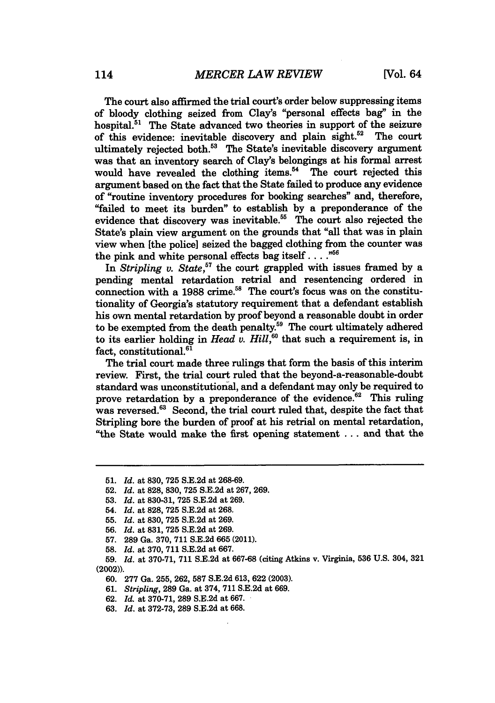The court also affirmed the trial court's order below suppressing items of bloody clothing seized from Clay's "personal effects bag" in the hospital.<sup>51</sup> The State advanced two theories in support of the seizure of this evidence: inevitable discovery and plain sight.<sup>52</sup> The court ultimately rejected both.<sup>53</sup> The State's inevitable discovery argument was that an inventory search of Clay's belongings at his formal arrest would have revealed the clothing items.<sup>54</sup> The court rejected this argument based on the fact that the State failed to produce any evidence of "routine inventory procedures for booking searches" and, therefore, "failed to meet its burden" to establish **by** a preponderance of the evidence that discovery was inevitable.<sup>55</sup> The court also rejected the State's plain view argument on the grounds that "all that was in plain view when [the police] seized the bagged clothing from the counter was the pink and white personal effects bag itself . . . .<sup>556</sup>

In *Stripling v. State,"7* the court grappled with issues framed **by** a pending mental retardation retrial and resentencing ordered in connection with a 1988 crime.<sup>58</sup> The court's focus was on the constitutionality of Georgia's statutory requirement that a defendant establish his own mental retardation **by** proof beyond a reasonable doubt in order to be exempted from the death penalty.59 The court ultimately adhered to its earlier holding in *Head v. Hill*,<sup>60</sup> that such a requirement is, in fact, constitutional.<sup>61</sup>

The trial court made three rulings that form the basis of this interim review. First, the trial court ruled that the beyond-a-reasonable-doubt standard was unconstitutional, and a defendant may only be required to prove retardation by a preponderance of the evidence.<sup>62</sup> This ruling was reversed.<sup>63</sup> Second, the trial court ruled that, despite the fact that Stripling bore the burden of proof at his retrial on mental retardation, "the State would make the first opening statement **...** and that the

- **52.** *Id.* at **828, 830, 725 S.E.2d** at **267, 269.**
- **53.** *Id.* at **830-31, 725 S.E.2d** at **269.**

**58.** *Id.* at **370, 711 S.E.2d** at **667.**

**59.** *Id.* at **370-71, 711 S.E.2d** at **667-68** (citing Atkins v. Virginia, **536 U.S.** 304, **321** (2002)).

- 60. **277** Ga. 255, 262, **587 S.E.2d** 613, **622** (2003).
- 61. *Stripling,* 289 Ga. at 374, **711 S.E.2d** at 669.
- 62. *Id.* at **370-71,** 289 S.E.2d at 667.
- **63.** *Id.* at **372-73,** 289 **S.E.2d** at 668.

**<sup>51.</sup>** *Id.* at **830, 725 S.E.2d** at **268-69.**

<sup>54.</sup> *Id.* at **828, 725 S.E.2d** at **268.**

**<sup>55.</sup>** *Id.* at **830, 725 S.E.2d** at **269.**

**<sup>56.</sup>** *Id.* at **831, 725 S.E.2d** at **269.**

**<sup>57. 289</sup>** Ga. **370, 711 S.E.2d 665** (2011).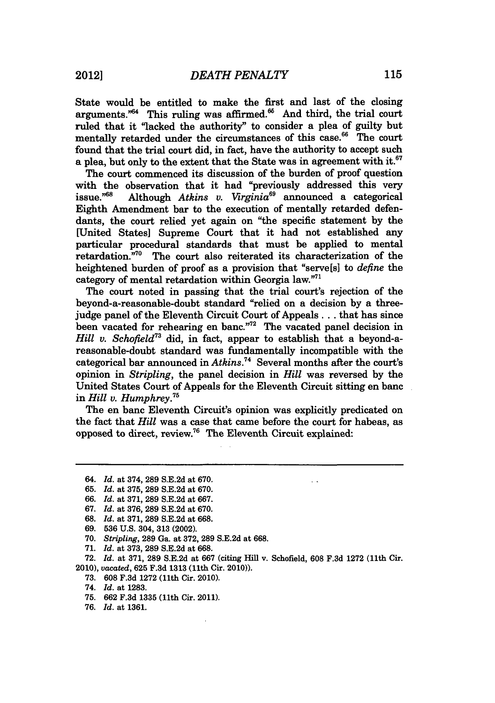State would be entitled to make the first and last of the closing arguments." $64$  This ruling was affirmed. $65$  And third, the trial court ruled that it "lacked the authority" to consider a plea of guilty but mentally retarded under the circumstances of this case.<sup>66</sup> The court found that the trial court did, in fact, have the authority to accept such a plea, but only to the extent that the State was in agreement with it. $67$ 

The court commenced its discussion of the burden of proof question with the observation that it had "previously addressed this very issue."68 Although *Atkins v. Virginia69* announced a categorical Eighth Amendment bar to the execution of mentally retarded defendants, the court relied yet again on "the specific statement by the [United States] Supreme Court that it had not established any particular procedural standards that must be applied to mental retardation.<sup>770</sup> The court also reiterated its characterization of the heightened burden of proof as a provision that "serve[s] to *define* the category of mental retardation within Georgia law."<sup>77</sup>

The court noted in passing that the trial court's rejection of the beyond-a-reasonable-doubt standard "relied on a decision by a threejudge panel of the Eleventh Circuit Court of Appeals... that has since been vacated for rehearing en banc."<sup>72</sup> The vacated panel decision in *Hill v. Schofield73* did, in fact, appear to establish that a beyond-areasonable-doubt standard was fundamentally incompatible with the categorical bar announced in *Atkins.74* Several months after the court's opinion in *Stripling,* the panel decision in *Hill* was reversed by the United States Court of Appeals for the Eleventh Circuit sitting en banc in *Hill v. Humphrey.75*

The en banc Eleventh Circuit's opinion was explicitly predicated on the fact that *Hill* was a case that came before the court for habeas, as opposed to direct, review. 76 The Eleventh Circuit explained:

- 68. *Id.* at 371, **289** S.E.2d at 668.
- 69. **536** U.S. 304, 313 (2002).
- 70. *Stripling,* 289 Ga. at 372, **289** S.E.2d at 668.
- **71.** *Id.* at 373, 289 S.E.2d at 668.

72. *Id.* at 371, 289 S.E.2d at **667** (citing Hill v. Schofield, 608 F.3d 1272 (11th Cir. 2010), *vacated,* 625 F.3d 1313 (11th Cir. 2010)).

- 73. 608 F.3d 1272 (11th Cir. 2010).
- 74. *Id.* at 1283.
- **75.** 662 F.3d 1335 (11th Cir. 2011).
- 76. *Id.* at 1361.

<sup>64.</sup> *Id.* at 374, 289 S.E.2d at 670.

**<sup>65.</sup>** *Id.* at 375, 289 S.E.2d at 670.

<sup>66.</sup> *Id.* at 371, **289** S.E.2d at 667.

<sup>67.</sup> *Id.* at 376, 289 S.E.2d at 670.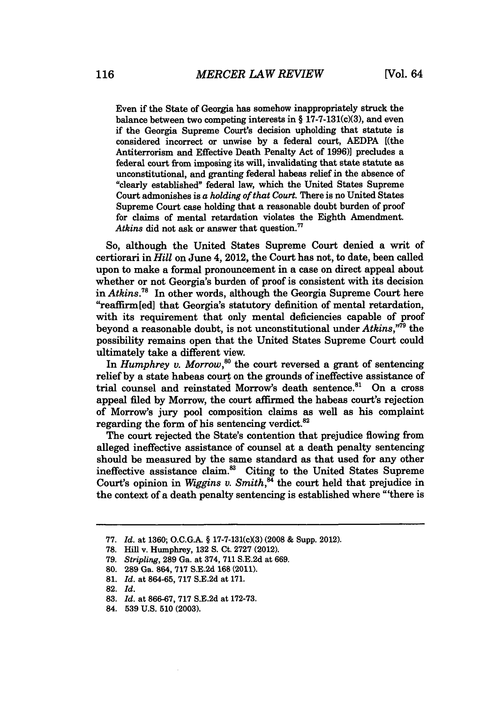Even if the State of Georgia has somehow inappropriately struck the balance between two competing interests in **§** 17-7-131(c)(3), and even if the Georgia Supreme Court's decision upholding that statute is considered incorrect or unwise **by** a federal court, **AEDPA [(the** Antiterrorism and Effective Death Penalty Act of **1996)]** precludes a federal court from imposing its will, invalidating that state statute as unconstitutional, and granting federal habeas relief in the absence of "clearly established" federal law, which the United States Supreme Court admonishes is *a holding of* that Court. There is no United States Supreme Court case holding that a reasonable doubt burden of proof for claims of mental retardation violates the Eighth Amendment. Atkins did not ask or answer that question.<sup>77</sup>

So, although the United States Supreme Court denied a writ of certiorari in *Hill* on June 4, 2012, the Court has not, to date, been called upon to make a formal pronouncement in a case on direct appeal about whether or not Georgia's burden of proof is consistent with its decision in *Atkins.7"* In other words, although the Georgia Supreme Court here "reaffirm[ed] that Georgia's statutory definition of mental retardation, with its requirement that only mental deficiencies capable of proof beyond a reasonable doubt, is not unconstitutional under *Atkins,"79* the possibility remains open that the United States Supreme Court could ultimately take a different view.

In *Humphrey v. Morrow*,<sup>80</sup> the court reversed a grant of sentencing relief **by** a state habeas court on the grounds of ineffective assistance of trial counsel and reinstated Morrow's death sentence.<sup>81</sup> On a cross appeal filed **by** Morrow, the court affirmed the habeas court's rejection of Morrow's jury pool composition claims as well as his complaint regarding the form of his sentencing verdict. $82$ 

The court rejected the State's contention that prejudice flowing from alleged ineffective assistance of counsel at a death penalty sentencing should be measured **by** the same standard as that used for any other ineffective assistance claim.<sup>83</sup> Citing to the United States Supreme Court's opinion in *Wiggins v. Smith,"* the court held that prejudice in the context of a death penalty sentencing is established where "'there is

**<sup>77.</sup>** *Id.* at **1360; O.C.G.A. §** 17-7-131(c)(3) **(2008 &** Supp. 2012).

**<sup>78.</sup> Hill** v. Humphrey, **132 S.** Ct. **2727** (2012).

**<sup>79.</sup>** *Stripling,* **289** Ga. at 374, **711 S.E.2d** at **669.**

**<sup>80. 289</sup>** Ga. 864, **717 S.E.2d 168** (2011).

**<sup>81.</sup>** *Id.* at **864-65, 717 S.E.2d** at **171.**

**<sup>82.</sup>** *Id.*

**<sup>83.</sup>** *Id.* at **866-67, 717 S.E.2d** at **172-73.**

<sup>84.</sup> **539 U.S. 510 (2003).**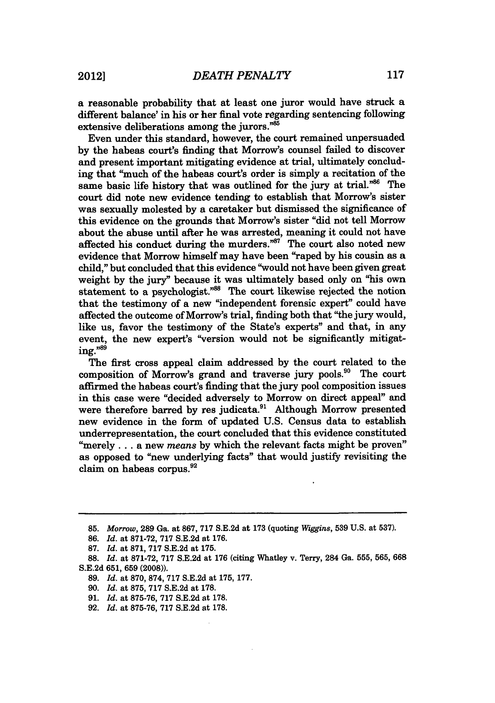a reasonable probability that at least one juror would have struck a different balance' in his or her final vote regarding sentencing following extensive deliberations among the jurors."<sup>85</sup>

Even under this standard, however, the court remained unpersuaded by the habeas court's finding that Morrow's counsel failed to discover and present important mitigating evidence at trial, ultimately concluding that "much of the habeas court's order is simply a recitation of the same basic life history that was outlined for the jury at trial."<sup>86</sup> The court did note new evidence tending to establish that Morrow's sister was sexually molested by a caretaker but dismissed the significance of this evidence on the grounds that Morrow's sister "did not tell Morrow about the abuse until after he was arrested, meaning it could not have affected his conduct during the murders. $^{n87}$  The court also noted new evidence that Morrow himself may have been "raped **by** his cousin as a child," but concluded that this evidence "would not have been given great weight **by** the jury" because it was ultimately based only on "his own statement to a psychologist."<sup>88</sup> The court likewise rejected the notion that the testimony of a new "independent forensic expert" could have affected the outcome of Morrow's trial, finding both that "the jury would, like us, favor the testimony of the State's experts" and that, in any event, the new expert's "version would not be significantly mitigating." $\frac{1}{3}$ 

The first cross appeal claim addressed by the court related to the composition of Morrow's grand and traverse jury pools.<sup>90</sup> The court affirmed the habeas court's finding that the jury pool composition issues in this case were "decided adversely to Morrow on direct appeal" and were therefore barred by res judicata.<sup>91</sup> Although Morrow presented new evidence in the form of updated U.S. Census data to establish underrepresentation, the court concluded that this evidence constituted "merely **...** a new *means* by which the relevant facts might be proven" as opposed to "new underlying facts" that would justify revisiting the claim on habeas corpus.<sup>92</sup>

**<sup>85.</sup>** *Morrow,* **289** Ga. at 867, 717 S.E.2d at 173 (quoting *Wiggins,* **539** U.S. at 537).

<sup>86.</sup> *Id.* at 871-72, **717** S.E.2d at 176.

<sup>87.</sup> *Id.* at 871, 717 S.E.2d at 175.

<sup>88.</sup> *Id.* at 871-72, 717 S.E.2d at 176 (citing Whatley v. Terry, 284 Ga. **555,** 565, **668** S.E.2d 651, **659** (2008)).

**<sup>89.</sup>** *Id.* at 870, 874, **717** S.E.2d at 175, 177.

<sup>90.</sup> *Id.* at 875, 717 S.E.2d at 178.

<sup>91.</sup> *Id.* at 875-76, 717 S.E.2d at 178.

<sup>92.</sup> *Id.* at 875-76, 717 S.E.2d at 178.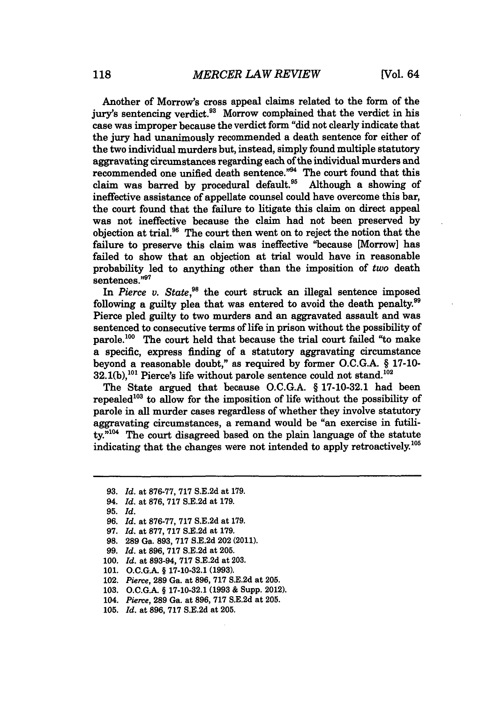Another of Morrow's cross appeal claims related to the form of the jury's sentencing verdict.<sup>93</sup> Morrow complained that the verdict in his case was improper because the verdict form "did not clearly indicate that the jury had unanimously recommended a death sentence for either of the two individual murders but, instead, simply found multiple statutory aggravating circumstances regarding each of the individual murders and recommended one unified death sentence."<sup>94</sup> The court found that this claim was barred by procedural default.<sup>95</sup> Although a showing of ineffective assistance of appellate counsel could have overcome this bar, the court found that the failure to litigate this claim on direct appeal was not ineffective because the claim had not been preserved by objection at trial.<sup>96</sup> The court then went on to reject the notion that the failure to preserve this claim was ineffective "because [Morrow] has failed to show that an objection at trial would have in reasonable probability led to anything other than the imposition of two death sentences."97

In *Pierce v. State,98* the court struck an illegal sentence imposed following a guilty plea that was entered to avoid the death penalty.<sup>99</sup> Pierce pled guilty to two murders and an aggravated assault and was sentenced to consecutive terms of life in prison without the possibility of parole.<sup>100</sup> The court held that because the trial court failed "to make a specific, express finding of a statutory aggravating circumstance beyond a reasonable doubt," as required by former O.C.G.A. § 17-10-  $32.1(b)$ ,<sup>101</sup> Pierce's life without parole sentence could not stand.<sup>102</sup>

The State argued that because O.C.G.A. § 17-10-32.1 had been repealed<sup>103</sup> to allow for the imposition of life without the possibility of parole in all murder cases regardless of whether they involve statutory aggravating circumstances, a remand would be "an exercise in futili $tv<sup>,m104</sup>$  The court disagreed based on the plain language of the statute indicating that the changes were not intended to apply retroactively.<sup>105</sup>

94. *Id.* at **876,** 717 S.E.2d at 179.

- **97.** *Id.* at **877, 717 S.E.2d** at **179.**
- **98. 289** Ga. **893, 717 S.E.2d** 202 (2011).
- **99.** *Id.* at **896, 717 S.E.2d** at **205.**
- **100.** *Id.* at **893-94, 717 S.E.2d** at **203.**
- **101. O.C.G.A.** § **17-10-32.1 (1993).**
- 102. *Pierce,* **289** Ga. at **896, 717 S.E.2d** at **205.**
- **103. O.C.G.A.** § **17-10-32.1 (1993** & Supp. 2012).
- 104. *Pierce,* **289** Ga. at **896, 717 S.E.2d** at **205.**
- **105.** *Id.* at **896, 717 S.E.2d** at **205.**

**<sup>93.</sup>** *Id.* at 876-77, 717 S.E.2d at 179.

**<sup>95.</sup>** *Id.*

**<sup>96.</sup>** *Id.* at **876-77, 717 S.E.2d** at **179.**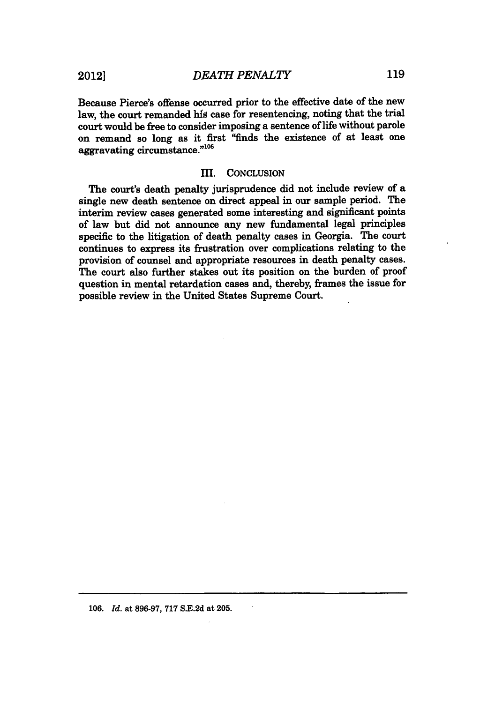Because Pierce's offense occurred prior to the effective date of the new law, the court remanded **his** case for resentencing, noting that the trial court would be free to consider imposing a sentence of life without parole on remand so long as it first "finds the existence of at least one aggravating circumstance."<sup>106</sup>

### III. **CONCLUSION**

The court's death penalty jurisprudence did not include review of a single new death sentence on direct appeal in our sample period. The interim review cases generated some interesting and significant points of law but did not announce any new fundamental legal principles specific to the litigation of death penalty cases in Georgia. The court continues to express its frustration over complications relating to the provision of counsel and appropriate resources in death penalty cases. The court also further stakes out its position on the burden of proof question in mental retardation cases and, thereby, frames the issue for possible review in the United States Supreme Court.